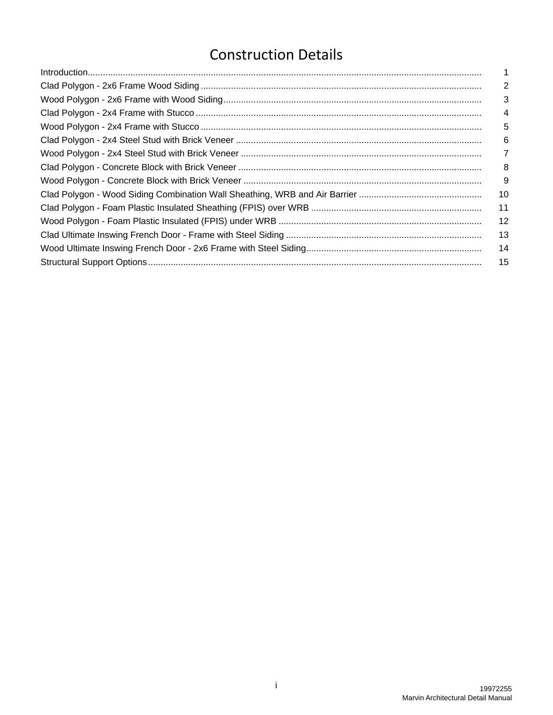# [C](#page-2-0)onstruction Details

| 1   |
|-----|
| 2   |
| 3   |
| 4   |
| 5   |
| 6   |
| 7   |
| 8   |
| 9   |
| 10  |
| 11  |
| 12  |
| 13  |
| -14 |
| 15  |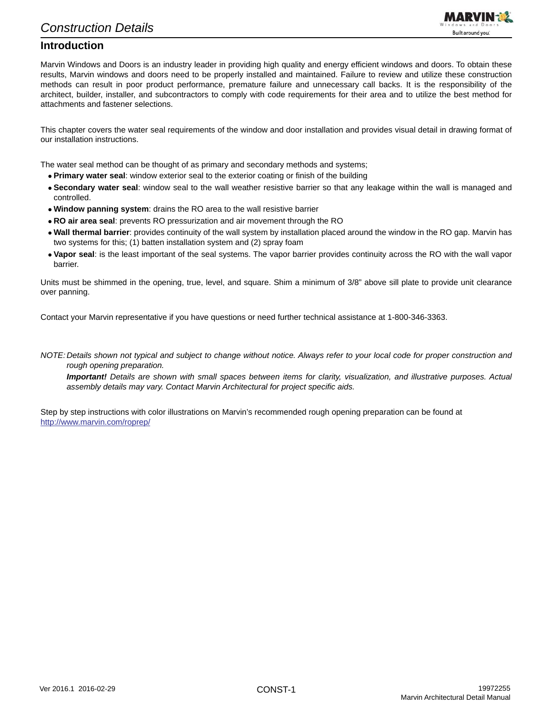

#### <span id="page-2-0"></span>**Introduction**

Marvin Windows and Doors is an industry leader in providing high quality and energy efficient windows and doors. To obtain these results, Marvin windows and doors need to be properly installed and maintained. Failure to review and utilize these construction methods can result in poor product performance, premature failure and unnecessary call backs. It is the responsibility of the architect, builder, installer, and subcontractors to comply with code requirements for their area and to utilize the best method for attachments and fastener selections.

This chapter covers the water seal requirements of the window and door installation and provides visual detail in drawing format of our installation instructions.

The water seal method can be thought of as primary and secondary methods and systems;

- **Primary water seal**: window exterior seal to the exterior coating or finish of the building
- **Secondary water seal**: window seal to the wall weather resistive barrier so that any leakage within the wall is managed and controlled.
- **Window panning system**: drains the RO area to the wall resistive barrier
- **RO air area seal**: prevents RO pressurization and air movement through the RO
- **Wall thermal barrier**: provides continuity of the wall system by installation placed around the window in the RO gap. Marvin has two systems for this; (1) batten installation system and (2) spray foam
- **Vapor seal**: is the least important of the seal systems. The vapor barrier provides continuity across the RO with the wall vapor barrier.

Units must be shimmed in the opening, true, level, and square. Shim a minimum of 3/8" above sill plate to provide unit clearance over panning.

Contact your Marvin representative if you have questions or need further technical assistance at 1-800-346-3363.

*NOTE: Details shown not typical and subject to change without notice. Always refer to your local code for proper construction and rough opening preparation.*

*Important! Details are shown with small spaces between items for clarity, visualization, and illustrative purposes. Actual assembly details may vary. Contact Marvin Architectural for project specific aids.*

Step by step instructions with color illustrations on Marvin's recommended rough opening preparation can be found at <http://www.marvin.com/roprep/>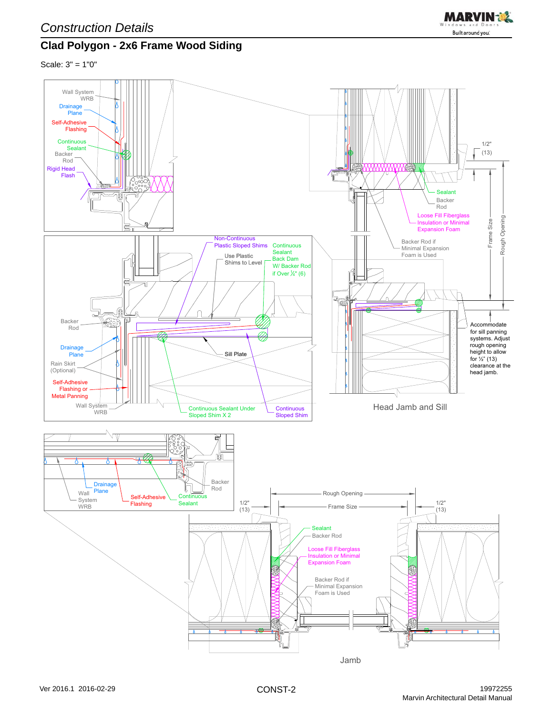

### <span id="page-3-0"></span>**Clad Polygon - 2x6 Frame Wood Siding**

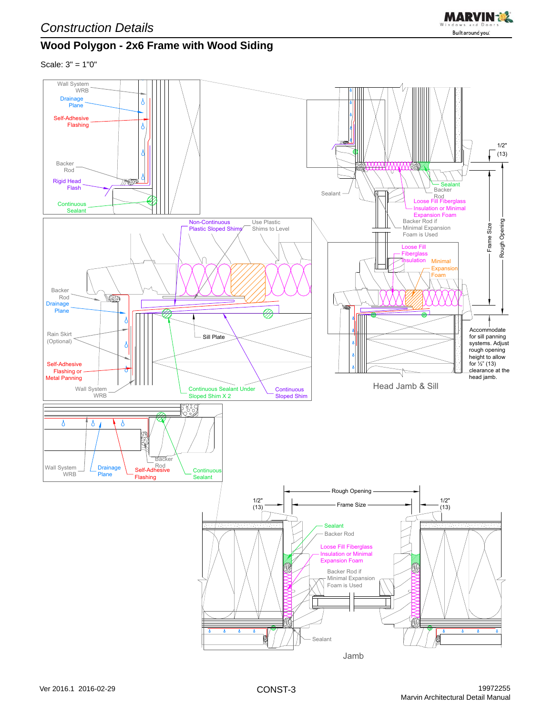<span id="page-4-0"></span>



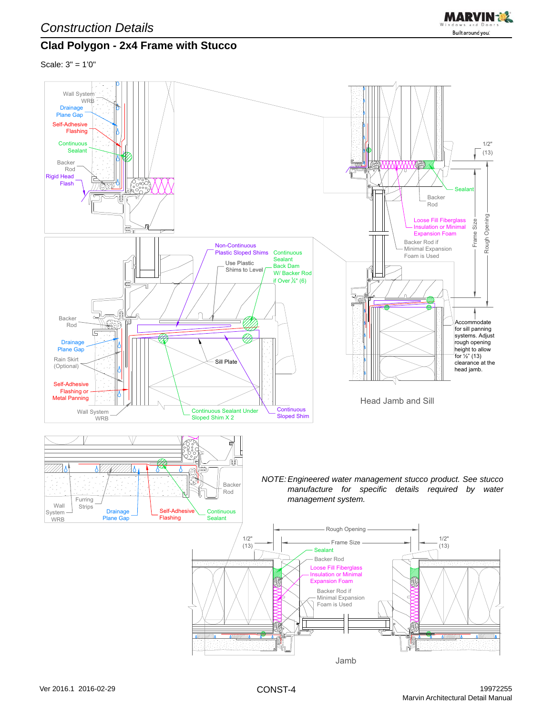

### <span id="page-5-0"></span>**Clad Polygon - 2x4 Frame with Stucco**

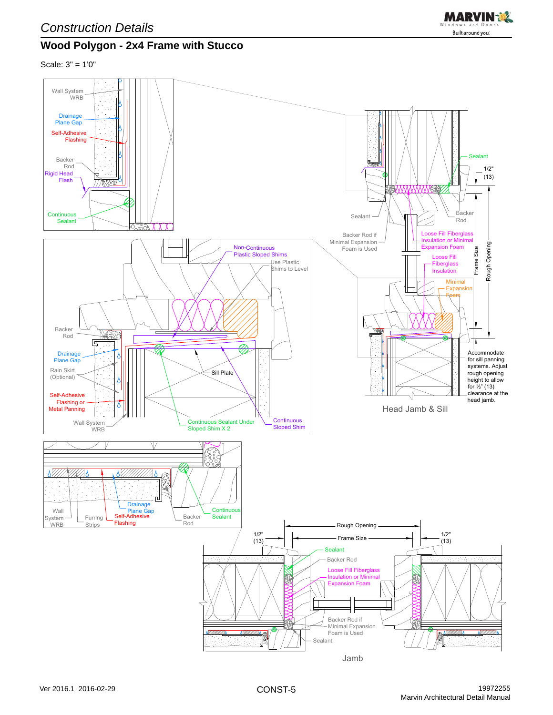

### <span id="page-6-0"></span>**Wood Polygon - 2x4 Frame with Stucco**

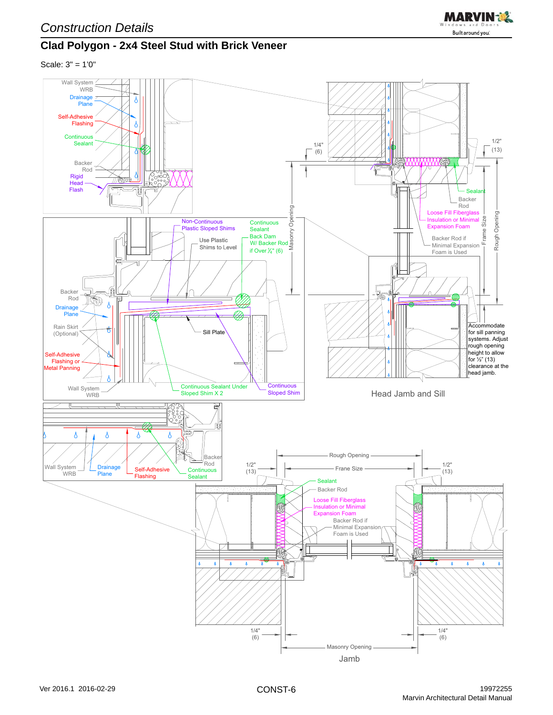<span id="page-7-0"></span>



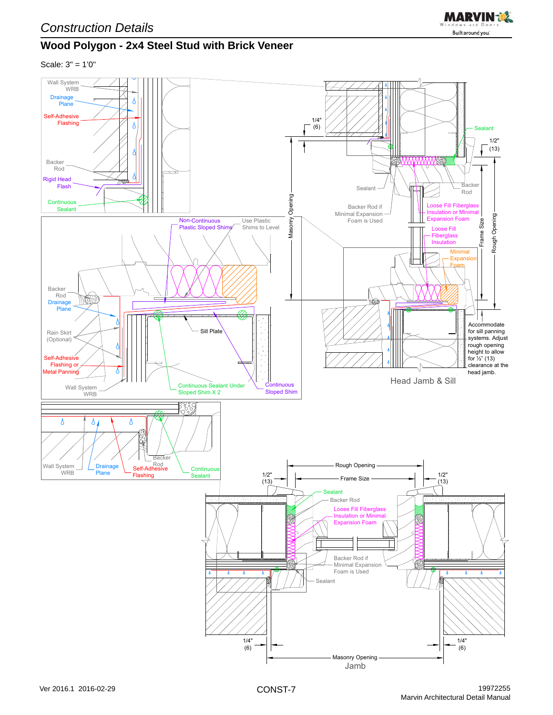<span id="page-8-0"></span>



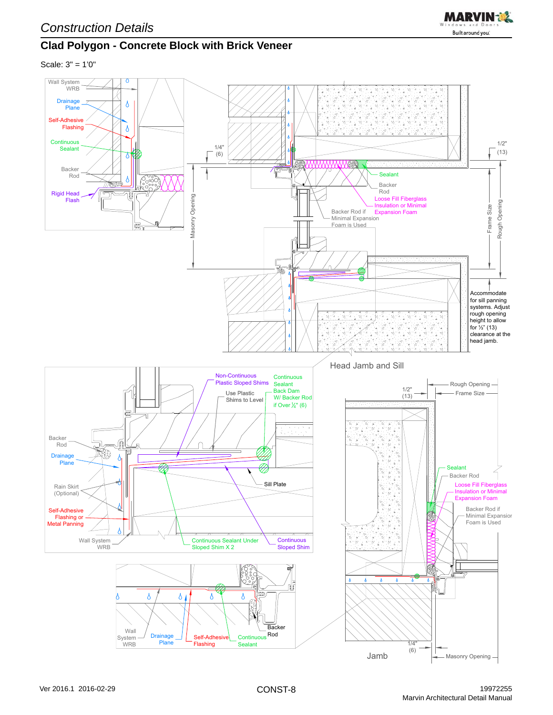

### <span id="page-9-0"></span>**Clad Polygon - Concrete Block with Brick Veneer**

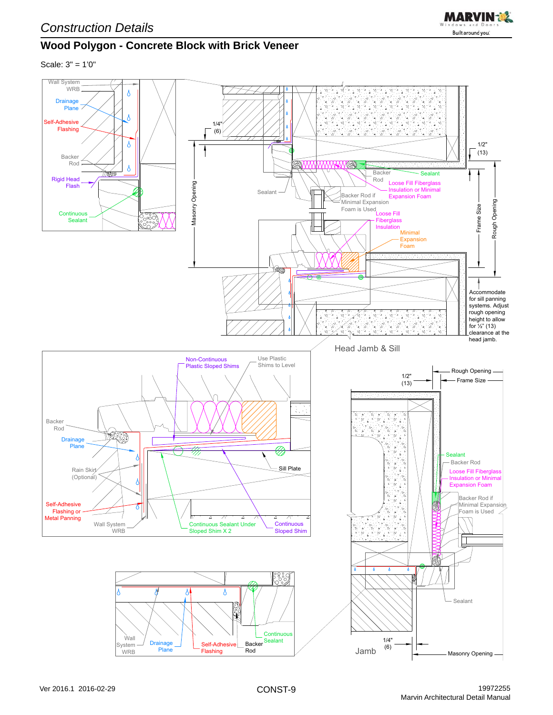

## <span id="page-10-0"></span>**Wood Polygon - Concrete Block with Brick Veneer**

Scale: 3" = 1'0"

*Construction Details*

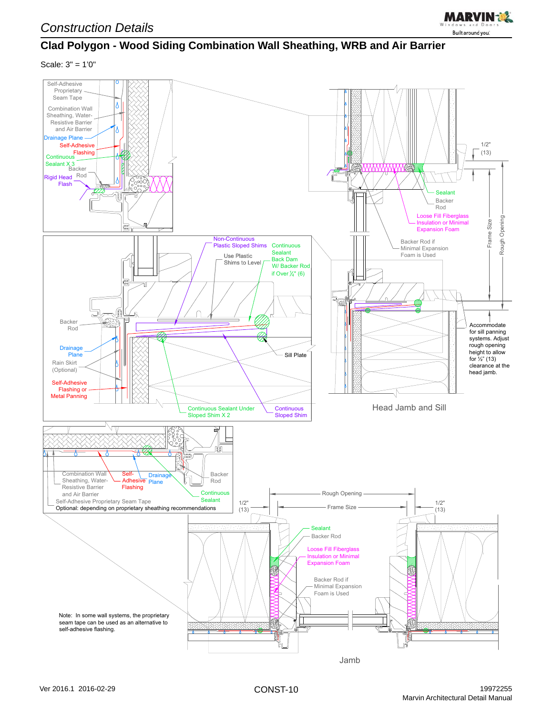

### <span id="page-11-0"></span>**Clad Polygon - Wood Siding Combination Wall Sheathing, WRB and Air Barrier**

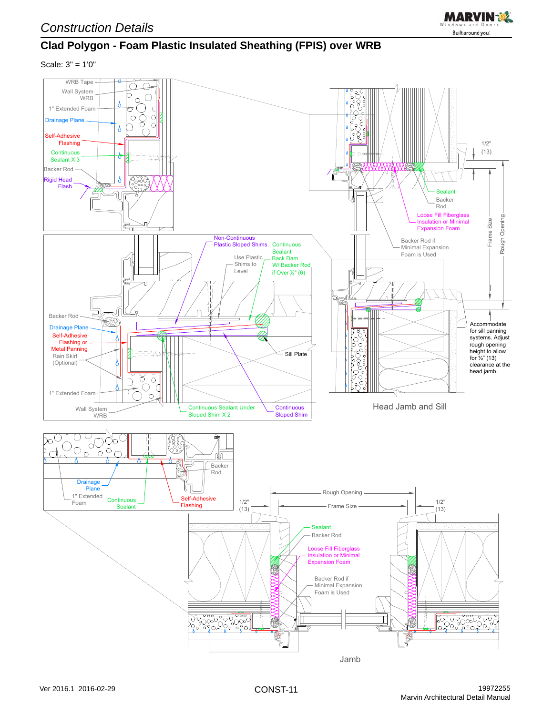<span id="page-12-0"></span>



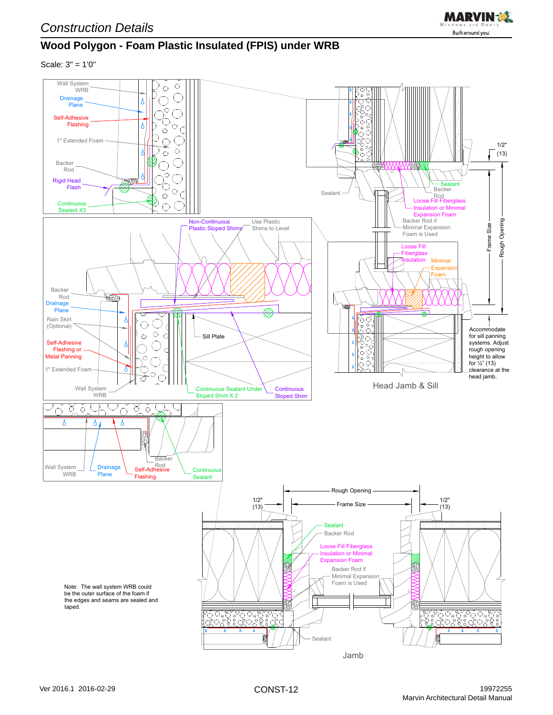<span id="page-13-0"></span>



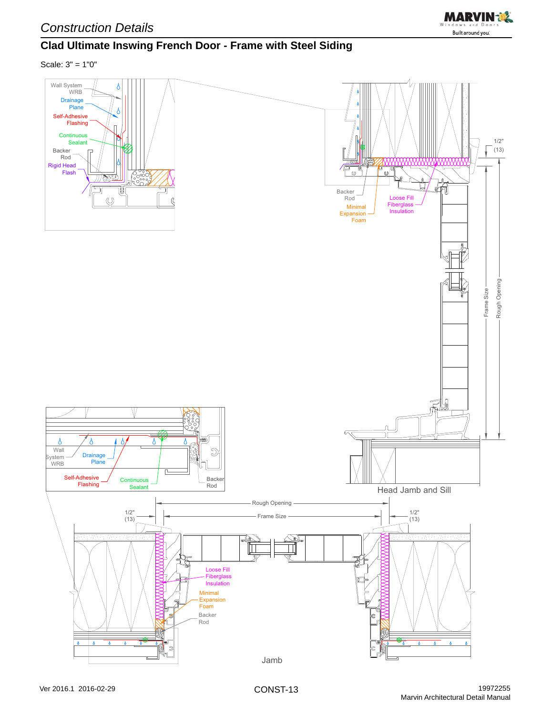

### <span id="page-14-0"></span>**Clad Ultimate Inswing French Door - Frame with Steel Siding**

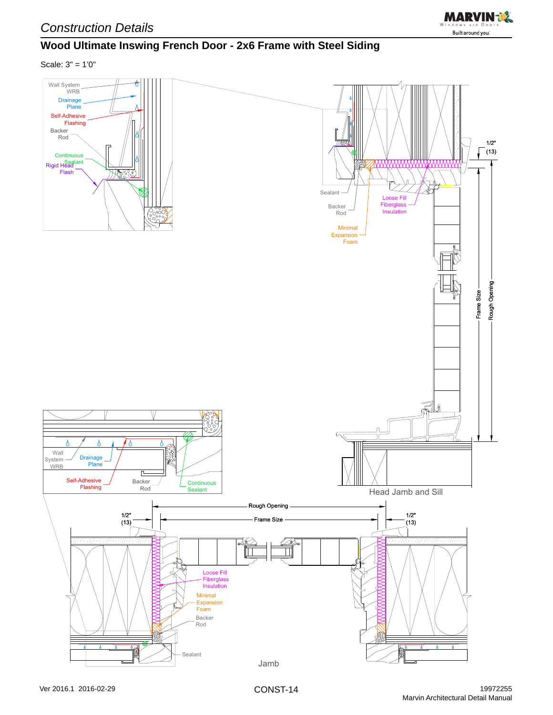

### <span id="page-15-0"></span>**Wood Ultimate Inswing French Door - 2x6 Frame with Steel Siding**